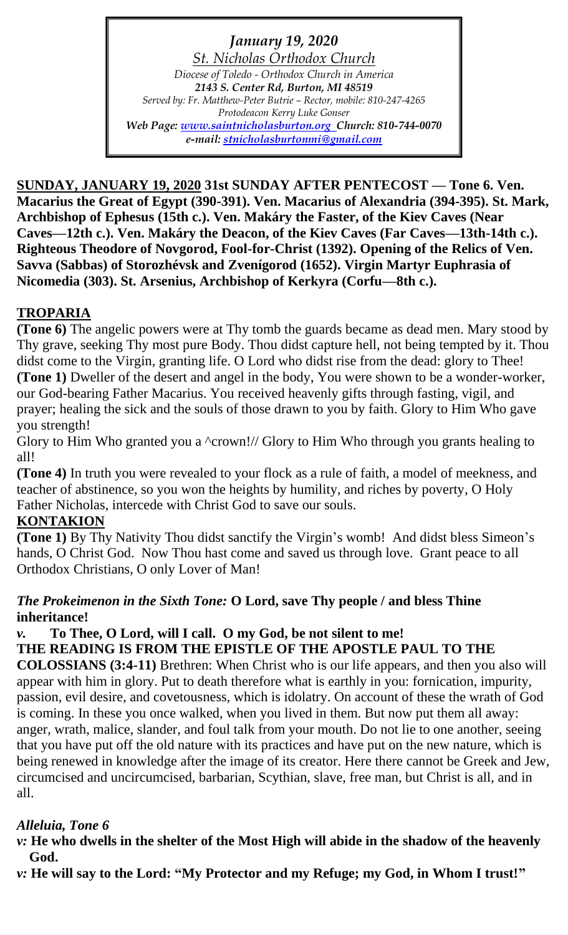*January 19, 2020 St. Nicholas Orthodox Church Diocese of Toledo - Orthodox Church in America 2143 S. Center Rd, Burton, MI 48519 Served by: Fr. Matthew-Peter Butrie – Rector, mobile: 810-247-4265 Protodeacon Kerry Luke Gonser Web Page: [www.saintnicholasburton.org](http://www.saintnicholasburton.org/) Church: 810-744-0070 e-mail: [stnicholasburtonmi@gmail.com](mailto:stnicholasburtonmi@gmail.com)*

**SUNDAY, JANUARY 19, 2020 31st SUNDAY AFTER PENTECOST — Tone 6. Ven. Macarius the Great of Egypt (390-391). Ven. Macarius of Alexandria (394-395). St. Mark, Archbishop of Ephesus (15th c.). Ven. Makáry the Faster, of the Kiev Caves (Near Caves—12th c.). Ven. Makáry the Deacon, of the Kiev Caves (Far Caves—13th-14th c.). Righteous Theodore of Novgorod, Fool-for-Christ (1392). Opening of the Relics of Ven. Savva (Sabbas) of Storozhévsk and Zvenígorod (1652). Virgin Martyr Euphrasia of Nicomedia (303). St. Arsenius, Archbishop of Kerkyra (Corfu—8th c.).**

# **TROPARIA**

**(Tone 6)** The angelic powers were at Thy tomb the guards became as dead men. Mary stood by Thy grave, seeking Thy most pure Body. Thou didst capture hell, not being tempted by it. Thou didst come to the Virgin, granting life. O Lord who didst rise from the dead: glory to Thee! **(Tone 1)** Dweller of the desert and angel in the body, You were shown to be a wonder-worker, our God-bearing Father Macarius. You received heavenly gifts through fasting, vigil, and prayer; healing the sick and the souls of those drawn to you by faith. Glory to Him Who gave you strength!

Glory to Him Who granted you a  $\text{``crown!}$ // Glory to Him Who through you grants healing to all!

**(Tone 4)** In truth you were revealed to your flock as a rule of faith, a model of meekness, and teacher of abstinence, so you won the heights by humility, and riches by poverty, O Holy Father Nicholas, intercede with Christ God to save our souls.

# **KONTAKION**

**(Tone 1)** By Thy Nativity Thou didst sanctify the Virgin's womb! And didst bless Simeon's hands, O Christ God. Now Thou hast come and saved us through love. Grant peace to all Orthodox Christians, O only Lover of Man!

### *The Prokeimenon in the Sixth Tone:* **O Lord, save Thy people / and bless Thine inheritance!**

### *v.* **To Thee, O Lord, will I call. O my God, be not silent to me! THE READING IS FROM THE EPISTLE OF THE APOSTLE PAUL TO THE**

**COLOSSIANS (3:4-11)** Brethren: When Christ who is our life appears, and then you also will appear with him in glory. Put to death therefore what is earthly in you: fornication, impurity, passion, evil desire, and covetousness, which is idolatry. On account of these the wrath of God is coming. In these you once walked, when you lived in them. But now put them all away: anger, wrath, malice, slander, and foul talk from your mouth. Do not lie to one another, seeing that you have put off the old nature with its practices and have put on the new nature, which is being renewed in knowledge after the image of its creator. Here there cannot be Greek and Jew, circumcised and uncircumcised, barbarian, Scythian, slave, free man, but Christ is all, and in all.

# *Alleluia, Tone 6*

*v:* **He who dwells in the shelter of the Most High will abide in the shadow of the heavenly God.**

*v:* **He will say to the Lord: "My Protector and my Refuge; my God, in Whom I trust!"**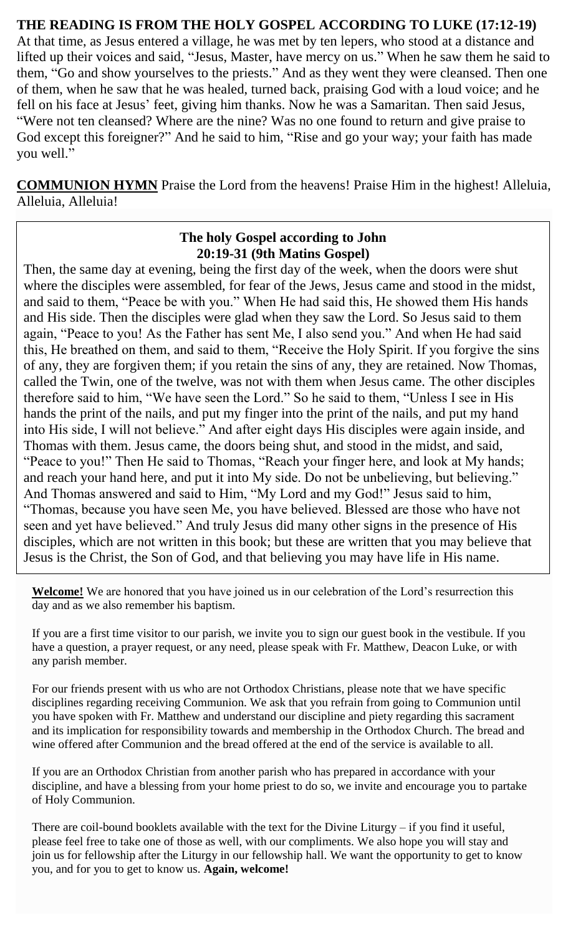### **THE READING IS FROM THE HOLY GOSPEL ACCORDING TO LUKE (17:12-19)**

At that time, as Jesus entered a village, he was met by ten lepers, who stood at a distance and lifted up their voices and said, "Jesus, Master, have mercy on us." When he saw them he said to them, "Go and show yourselves to the priests." And as they went they were cleansed. Then one of them, when he saw that he was healed, turned back, praising God with a loud voice; and he fell on his face at Jesus' feet, giving him thanks. Now he was a Samaritan. Then said Jesus, "Were not ten cleansed? Where are the nine? Was no one found to return and give praise to God except this foreigner?" And he said to him, "Rise and go your way; your faith has made you well."

**COMMUNION HYMN** Praise the Lord from the heavens! Praise Him in the highest! Alleluia, Alleluia, Alleluia!

### **The holy Gospel according to John 20:19-31 (9th Matins Gospel)**

Then, the same day at evening, being the first day of the week, when the doors were shut where the disciples were assembled, for fear of the Jews, Jesus came and stood in the midst, and said to them, "Peace be with you." When He had said this, He showed them His hands and His side. Then the disciples were glad when they saw the Lord. So Jesus said to them again, "Peace to you! As the Father has sent Me, I also send you." And when He had said this, He breathed on them, and said to them, "Receive the Holy Spirit. If you forgive the sins of any, they are forgiven them; if you retain the sins of any, they are retained. Now Thomas, called the Twin, one of the twelve, was not with them when Jesus came. The other disciples therefore said to him, "We have seen the Lord." So he said to them, "Unless I see in His hands the print of the nails, and put my finger into the print of the nails, and put my hand into His side, I will not believe." And after eight days His disciples were again inside, and Thomas with them. Jesus came, the doors being shut, and stood in the midst, and said, "Peace to you!" Then He said to Thomas, "Reach your finger here, and look at My hands; and reach your hand here, and put it into My side. Do not be unbelieving, but believing." And Thomas answered and said to Him, "My Lord and my God!" Jesus said to him, "Thomas, because you have seen Me, you have believed. Blessed are those who have not seen and yet have believed." And truly Jesus did many other signs in the presence of His disciples, which are not written in this book; but these are written that you may believe that Jesus is the Christ, the Son of God, and that believing you may have life in His name.

**Welcome!** We are honored that you have joined us in our celebration of the Lord's resurrection this day and as we also remember his baptism.

If you are a first time visitor to our parish, we invite you to sign our guest book in the vestibule. If you have a question, a prayer request, or any need, please speak with Fr. Matthew, Deacon Luke, or with any parish member.

For our friends present with us who are not Orthodox Christians, please note that we have specific disciplines regarding receiving Communion. We ask that you refrain from going to Communion until you have spoken with Fr. Matthew and understand our discipline and piety regarding this sacrament and its implication for responsibility towards and membership in the Orthodox Church. The bread and wine offered after Communion and the bread offered at the end of the service is available to all.

If you are an Orthodox Christian from another parish who has prepared in accordance with your discipline, and have a blessing from your home priest to do so, we invite and encourage you to partake of Holy Communion.

There are coil-bound booklets available with the text for the Divine Liturgy – if you find it useful, please feel free to take one of those as well, with our compliments. We also hope you will stay and join us for fellowship after the Liturgy in our fellowship hall. We want the opportunity to get to know you, and for you to get to know us. **Again, welcome!**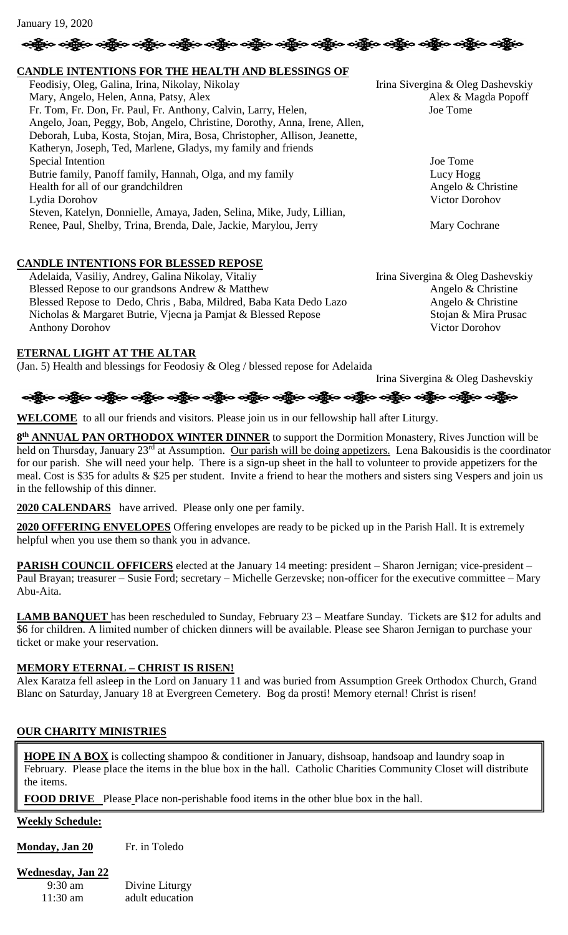| બંફ્લિંગ બંદ્ધિન બંદ્ધિન બંદ્ધિન બંદ્ધિન બંદ્ધિન બંદ્ધિન બંદ્ધિન બંદ્ધિન બંદ્ધિન બંદ્ધિન બંદ્ધિન બંદ્ધિન બંદ્ધ |  |  |  |  |  |  |  |  |  |  |  |  |  |  |
|----------------------------------------------------------------------------------------------------------------|--|--|--|--|--|--|--|--|--|--|--|--|--|--|
|----------------------------------------------------------------------------------------------------------------|--|--|--|--|--|--|--|--|--|--|--|--|--|--|

### **CANDLE INTENTIONS FOR THE HEALTH AND BLESSINGS OF**

Feodisiy, Oleg, Galina, Irina, Nikolay, Nikolay Irina Sivergina & Oleg Dashevskiy Mary, Angelo, Helen, Anna, Patsy, Alex Alex Alex Alex Alex & Magda Popoff Fr. Tom, Fr. Don, Fr. Paul, Fr. Anthony, Calvin, Larry, Helen, Joe Tome Angelo, Joan, Peggy, Bob, Angelo, Christine, Dorothy, Anna, Irene, Allen, Deborah, Luba, Kosta, Stojan, Mira, Bosa, Christopher, Allison, Jeanette, Katheryn, Joseph, Ted, Marlene, Gladys, my family and friends Special Intention Joe Tome Butrie family, Panoff family, Hannah, Olga, and my family Lucy Hogg Lucy Hogg Health for all of our grandchildren Angelo & Christine Lydia Dorohov Victor Dorohov Steven, Katelyn, Donnielle, Amaya, Jaden, Selina, Mike, Judy, Lillian, Renee, Paul, Shelby, Trina, Brenda, Dale, Jackie, Marylou, Jerry Mary Cochrane

### **CANDLE INTENTIONS FOR BLESSED REPOSE**

Adelaida, Vasiliy, Andrey, Galina Nikolay, Vitaliy Irina Sivergina & Oleg Dashevskiy Blessed Repose to our grandsons Andrew & Matthew Angelo & Christine Blessed Repose to Dedo, Chris, Baba, Mildred, Baba Kata Dedo Lazo Angelo & Christine Nicholas & Margaret Butrie, Vjecna ja Pamjat & Blessed Repose Stojan & Mira Prusac Anthony Dorohov Victor Dorohov

### **ETERNAL LIGHT AT THE ALTAR**

(Jan. 5) Health and blessings for Feodosiy & Oleg / blessed repose for Adelaida

Irina Sivergina & Oleg Dashevskiy

# ခရွိက ခရွိက ခရွိက ခရွိက ခရွိက ခရွိက ခရွိက ခရွိက ခရွိက ခရွိက ခရွိက ခရွိက ခရွိက ခရွိက ခရွိက ခရွိက

**WELCOME** to all our friends and visitors. Please join us in our fellowship hall after Liturgy.

**8 th ANNUAL PAN ORTHODOX WINTER DINNER** to support the Dormition Monastery, Rives Junction will be held on Thursday, January 23<sup>rd</sup> at Assumption. Our parish will be doing appetizers. Lena Bakousidis is the coordinator for our parish. She will need your help. There is a sign-up sheet in the hall to volunteer to provide appetizers for the meal. Cost is \$35 for adults & \$25 per student. Invite a friend to hear the mothers and sisters sing Vespers and join us in the fellowship of this dinner.

**2020 CALENDARS** have arrived. Please only one per family.

**2020 OFFERING ENVELOPES** Offering envelopes are ready to be picked up in the Parish Hall. It is extremely helpful when you use them so thank you in advance.

**PARISH COUNCIL OFFICERS** elected at the January 14 meeting: president – Sharon Jernigan; vice-president – Paul Brayan; treasurer – Susie Ford; secretary – Michelle Gerzevske; non-officer for the executive committee – Mary Abu-Aita.

**LAMB BANQUET** has been rescheduled to Sunday, February 23 – Meatfare Sunday. Tickets are \$12 for adults and \$6 for children. A limited number of chicken dinners will be available. Please see Sharon Jernigan to purchase your ticket or make your reservation.

#### **MEMORY ETERNAL – CHRIST IS RISEN!**

Alex Karatza fell asleep in the Lord on January 11 and was buried from Assumption Greek Orthodox Church, Grand Blanc on Saturday, January 18 at Evergreen Cemetery. Bog da prosti! Memory eternal! Christ is risen!

#### **OUR CHARITY MINISTRIES**

**HOPE IN A BOX** is collecting shampoo & conditioner in January, dishsoap, handsoap and laundry soap in February. Please place the items in the blue box in the hall. Catholic Charities Community Closet will distribute the items.

**FOOD DRIVE** Please Place non-perishable food items in the other blue box in the hall.

#### **Weekly Schedule:**

**Monday, Jan 20** Fr. in Toledo

### **Wednesday, Jan 22**

| $9:30 \text{ am}$  | Divine Liturgy  |
|--------------------|-----------------|
| $11:30 \text{ am}$ | adult education |